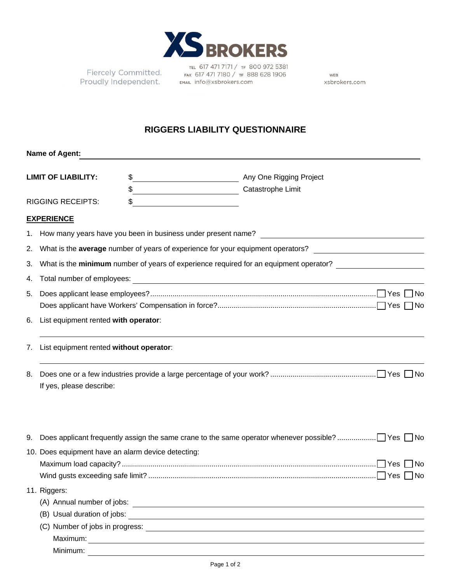

Fiercely Committed. FIERCELY COMMITTELED. FAX 617 471 7180 / TF 88:<br>Proudly Independent. EMAIL info@xsbrokers.com

TEL 617 471 7171 / TF 800 972 5381 FAX 617 471 7180 / TF 888 628 1906

WEB xsbrokers.com

## **RIGGERS LIABILITY QUESTIONNAIRE**

|                                            | <b>Name of Agent:</b>                                                                                                                 |  |                                                                                                   |  |  |  |  |  |
|--------------------------------------------|---------------------------------------------------------------------------------------------------------------------------------------|--|---------------------------------------------------------------------------------------------------|--|--|--|--|--|
|                                            | <b>LIMIT OF LIABILITY:</b>                                                                                                            |  |                                                                                                   |  |  |  |  |  |
|                                            |                                                                                                                                       |  |                                                                                                   |  |  |  |  |  |
|                                            | <b>RIGGING RECEIPTS:</b>                                                                                                              |  | <u> 1989 - Johann Barbara, martin amerikan ba</u>                                                 |  |  |  |  |  |
|                                            | <b>EXPERIENCE</b>                                                                                                                     |  |                                                                                                   |  |  |  |  |  |
|                                            |                                                                                                                                       |  |                                                                                                   |  |  |  |  |  |
| 2.                                         | What is the average number of years of experience for your equipment operators?<br><u> 1989 - John Stein, Amerikaansk politiker (</u> |  |                                                                                                   |  |  |  |  |  |
| 3.                                         | What is the minimum number of years of experience required for an equipment operator?                                                 |  |                                                                                                   |  |  |  |  |  |
| 4.                                         |                                                                                                                                       |  |                                                                                                   |  |  |  |  |  |
| 5.                                         |                                                                                                                                       |  |                                                                                                   |  |  |  |  |  |
| List equipment rented with operator:<br>6. |                                                                                                                                       |  |                                                                                                   |  |  |  |  |  |
| 7.                                         | List equipment rented without operator:                                                                                               |  |                                                                                                   |  |  |  |  |  |
| 8.                                         |                                                                                                                                       |  |                                                                                                   |  |  |  |  |  |
|                                            | If yes, please describe:                                                                                                              |  |                                                                                                   |  |  |  |  |  |
| 9.                                         |                                                                                                                                       |  | Does applicant frequently assign the same crane to the same operator whenever possible?  Yes □ No |  |  |  |  |  |
|                                            | 10. Does equipment have an alarm device detecting:                                                                                    |  |                                                                                                   |  |  |  |  |  |
|                                            |                                                                                                                                       |  |                                                                                                   |  |  |  |  |  |
|                                            |                                                                                                                                       |  |                                                                                                   |  |  |  |  |  |
|                                            | 11. Riggers:                                                                                                                          |  |                                                                                                   |  |  |  |  |  |
|                                            |                                                                                                                                       |  |                                                                                                   |  |  |  |  |  |
|                                            |                                                                                                                                       |  | (B) Usual duration of jobs:                                                                       |  |  |  |  |  |
|                                            |                                                                                                                                       |  |                                                                                                   |  |  |  |  |  |
|                                            |                                                                                                                                       |  |                                                                                                   |  |  |  |  |  |
|                                            | Minimum:                                                                                                                              |  |                                                                                                   |  |  |  |  |  |